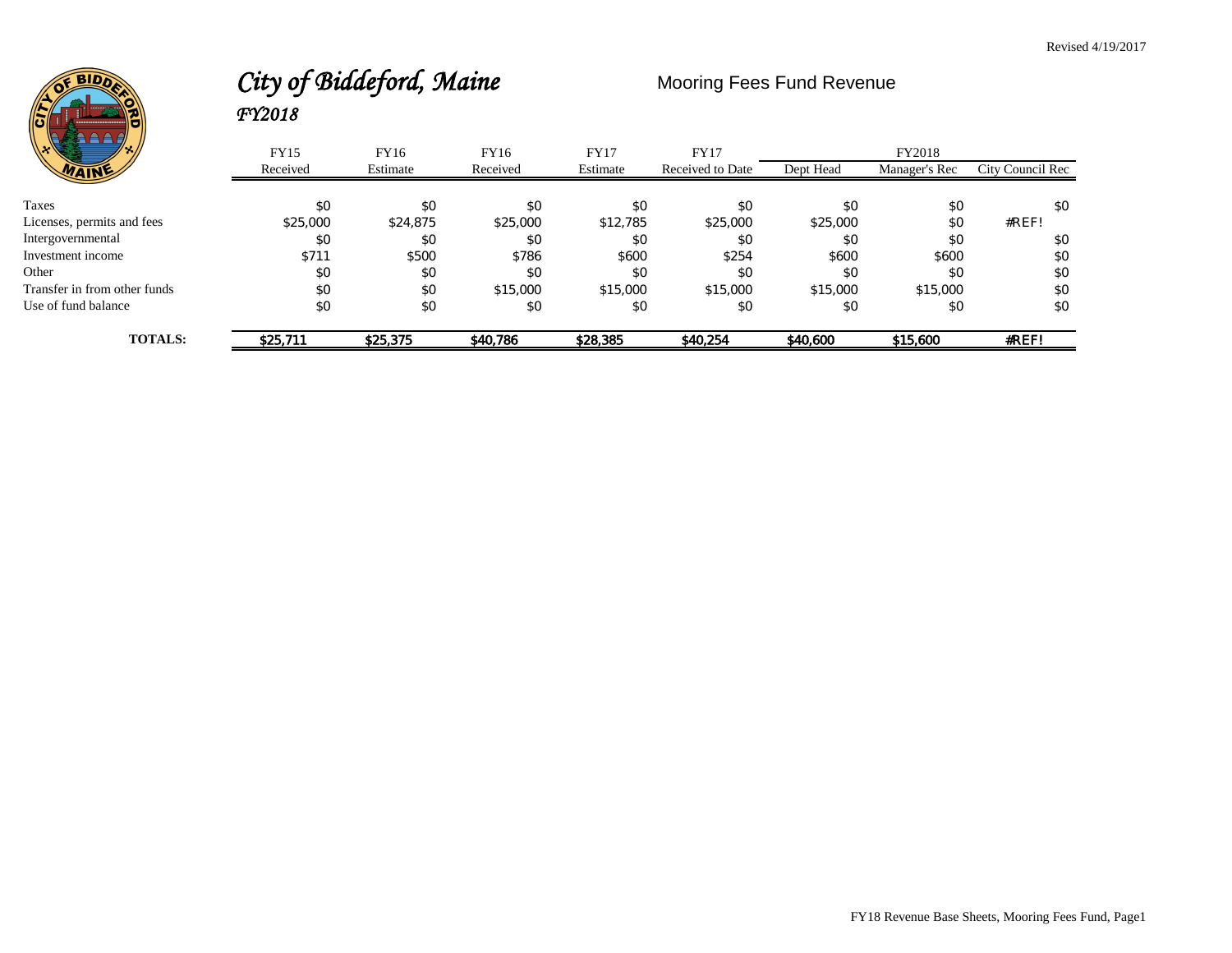

# City of Biddeford, Maine Mooring Fees Fund Revenue *FY2018*

| / پو<br>パん                   | <b>FY15</b> | FY16     | FY16     | <b>FY17</b> | <b>FY17</b>      |           | FY2018        |                  |
|------------------------------|-------------|----------|----------|-------------|------------------|-----------|---------------|------------------|
| WAINE                        | Received    | Estimate | Received | Estimate    | Received to Date | Dept Head | Manager's Rec | City Council Rec |
|                              |             |          |          |             |                  |           |               |                  |
| Taxes                        | \$0         | \$0      | \$0      | \$0         | \$0              | \$0       | \$0           | \$0              |
| Licenses, permits and fees   | \$25,000    | \$24,875 | \$25,000 | \$12,785    | \$25,000         | \$25,000  | \$0           | #REF!            |
| Intergovernmental            | \$0         | \$0      | \$0      | \$0         | \$0              | \$0       | \$0           | \$0              |
| Investment income            | \$711       | \$500    | \$786    | \$600       | \$254            | \$600     | \$600         | \$0              |
| Other                        | \$0         | \$0      | \$0      | \$0         | \$0              | \$0       | \$0           | \$0              |
| Transfer in from other funds | \$0         | \$0      | \$15,000 | \$15,000    | \$15,000         | \$15,000  | \$15,000      | \$0              |
| Use of fund balance          | \$0         | \$0      | \$0      | \$0         | \$0              | \$0       | \$0           | \$0              |
| <b>TOTALS:</b>               | \$25.711    | \$25,375 | \$40,786 | \$28,385    | \$40,254         | \$40,600  | \$15,600      | #REF!            |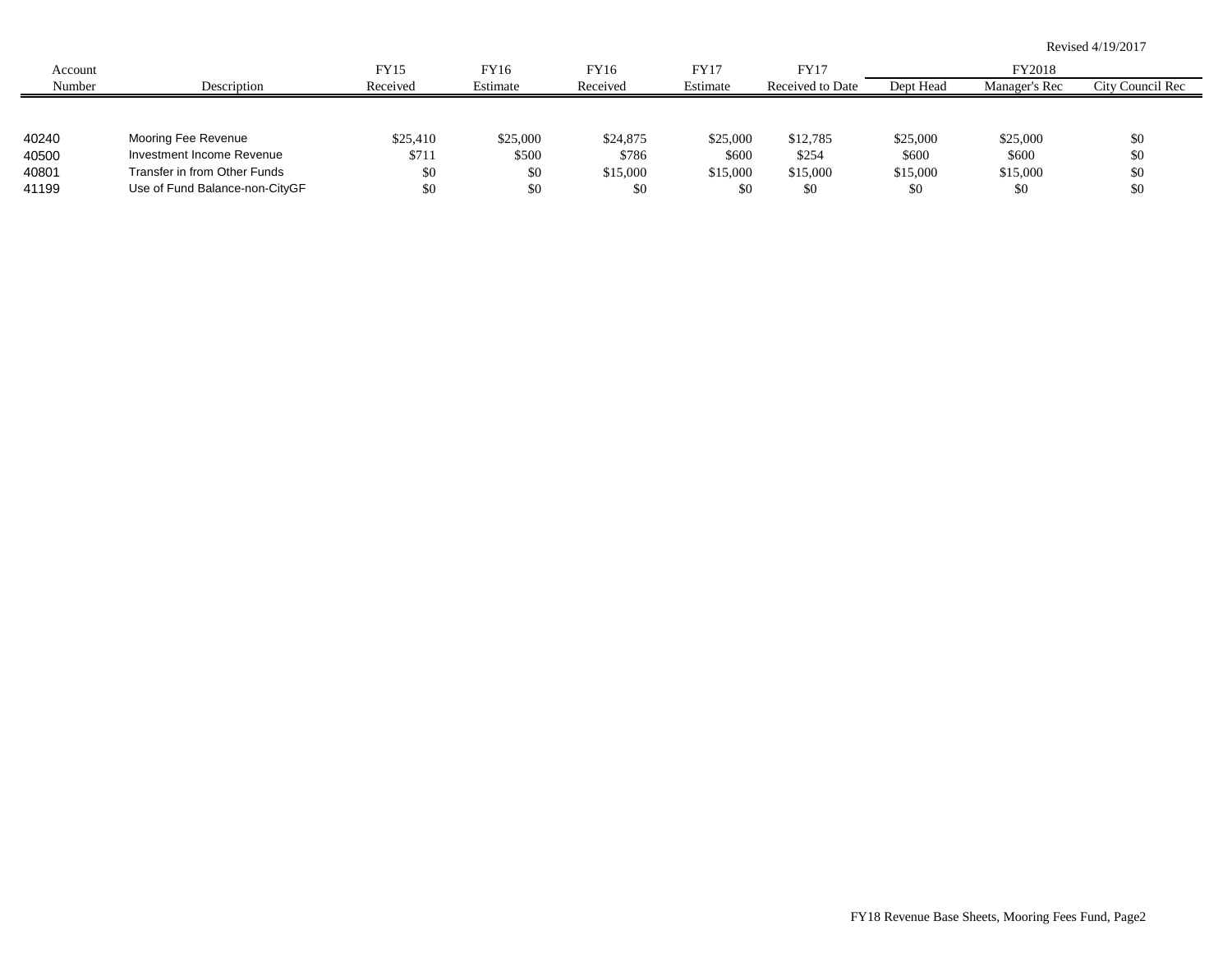|         |                                |          |          |          |          |                  |           |               | Revised 4/19/2017 |
|---------|--------------------------------|----------|----------|----------|----------|------------------|-----------|---------------|-------------------|
| Account |                                | FY15     | FY16     | FY16     | FY17     | <b>FY17</b>      |           | FY2018        |                   |
| Number  | Description                    | Received | Estimate | Received | Estimate | Received to Date | Dept Head | Manager's Rec | City Council Rec  |
|         |                                |          |          |          |          |                  |           |               |                   |
| 40240   | Mooring Fee Revenue            | \$25,410 | \$25,000 | \$24,875 | \$25,000 | \$12,785         | \$25,000  | \$25,000      | \$0               |
| 40500   | Investment Income Revenue      | \$711    | \$500    | \$786    | \$600    | \$254            | \$600     | \$600         | \$0               |
| 40801   | Transfer in from Other Funds   | \$0      | \$0      | \$15,000 | \$15,000 | \$15,000         | \$15,000  | \$15,000      | \$0               |
| 41199   | Use of Fund Balance-non-CityGF | \$0      | \$0      | \$0      | \$0      | \$0              | \$0       | \$0           | \$0               |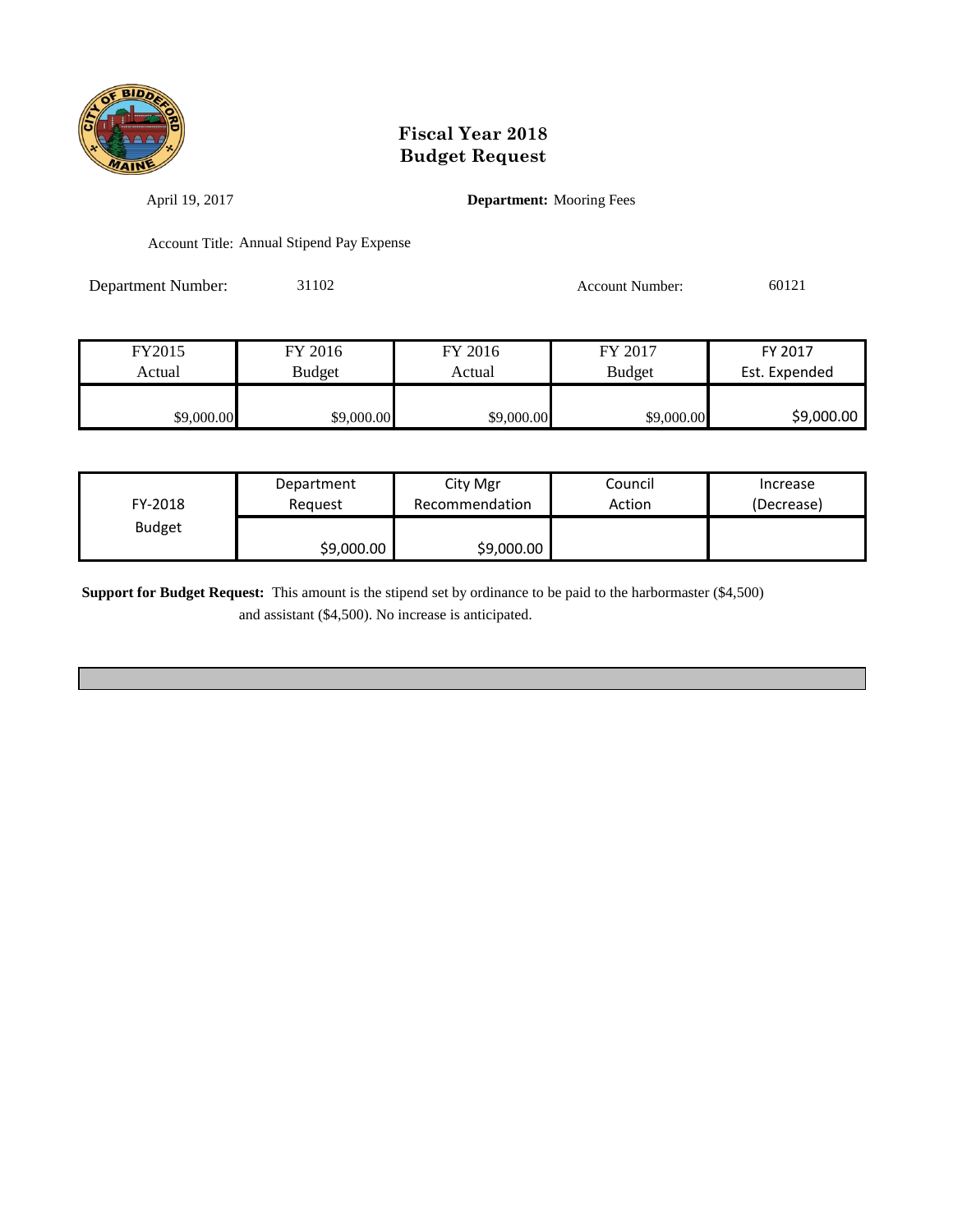

April 19, 2017 **Department:** Mooring Fees

Account Title: Annual Stipend Pay Expense

Department Number: 31102 Account Number: 60121

| FY2015     | FY 2016       | FY 2016    | FY 2017       | FY 2017       |
|------------|---------------|------------|---------------|---------------|
| Actual     | <b>Budget</b> | Actual     | <b>Budget</b> | Est. Expended |
|            |               |            |               |               |
| \$9,000.00 | \$9,000.00    | \$9,000.00 | \$9,000.00    | \$9,000.00    |

| FY-2018       | Department | City Mgr       | Council | Increase   |
|---------------|------------|----------------|---------|------------|
|               | Reauest    | Recommendation | Action  | (Decrease) |
| <b>Budget</b> | \$9,000.00 | \$9,000.00     |         |            |

**Support for Budget Request:** This amount is the stipend set by ordinance to be paid to the harbormaster (\$4,500) and assistant (\$4,500). No increase is anticipated.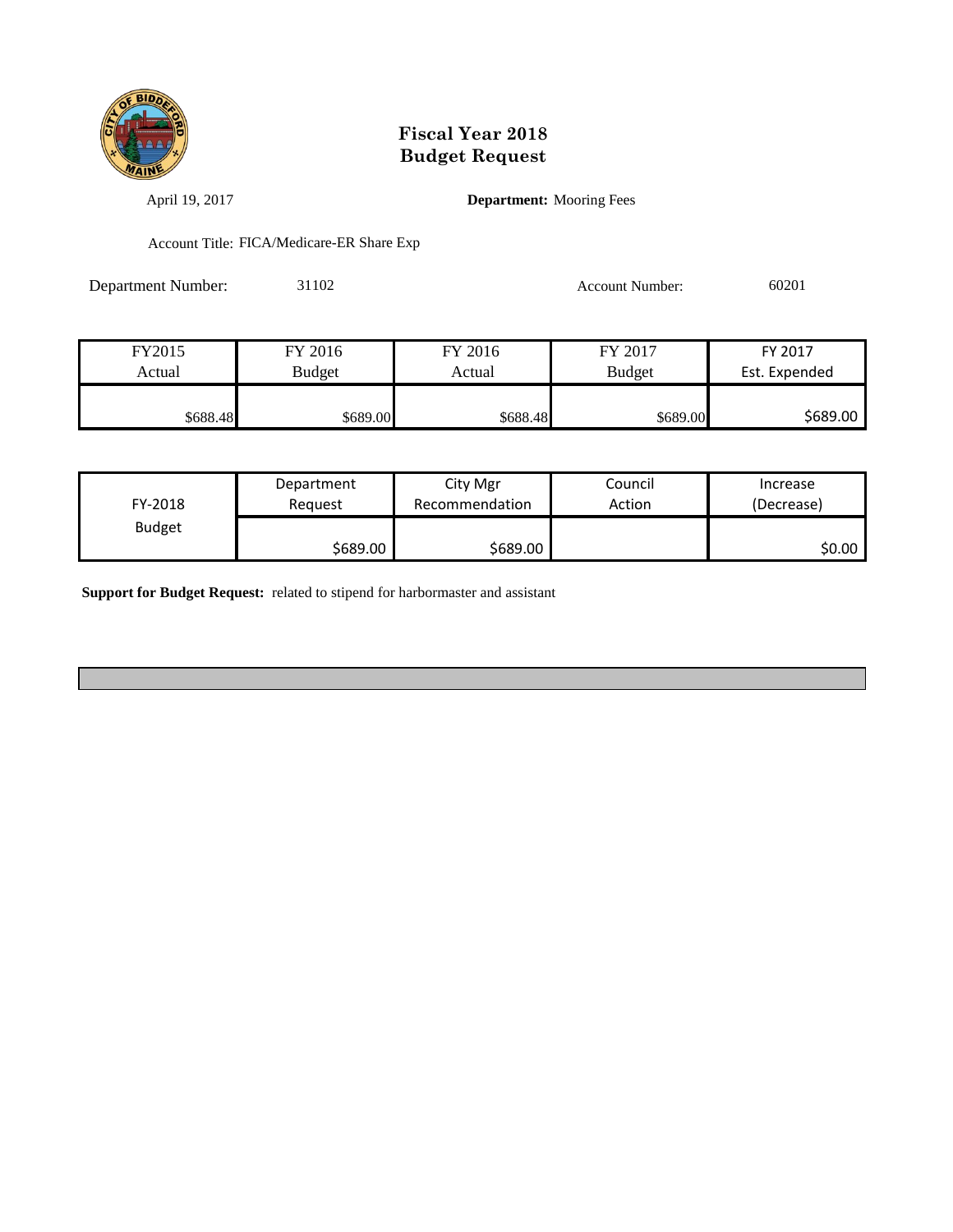

April 19, 2017 **Department:** Mooring Fees

Account Title: FICA/Medicare-ER Share Exp

Department Number: 31102 Account Number: 60201

| FY2015   | FY 2016  | FY 2016  | FY 2017       | FY 2017       |
|----------|----------|----------|---------------|---------------|
| Actual   | Budget   | Actual   | <b>Budget</b> | Est. Expended |
|          |          |          |               |               |
| \$688.48 | \$689.00 | \$688.48 | \$689.00      | \$689.00      |

| FY-2018       | Department | City Mgr       | Council | Increase   |
|---------------|------------|----------------|---------|------------|
|               | Reauest    | Recommendation | Action  | (Decrease) |
| <b>Budget</b> | \$689.00   | \$689.00       |         | SO.OO I    |

**Support for Budget Request:** related to stipend for harbormaster and assistant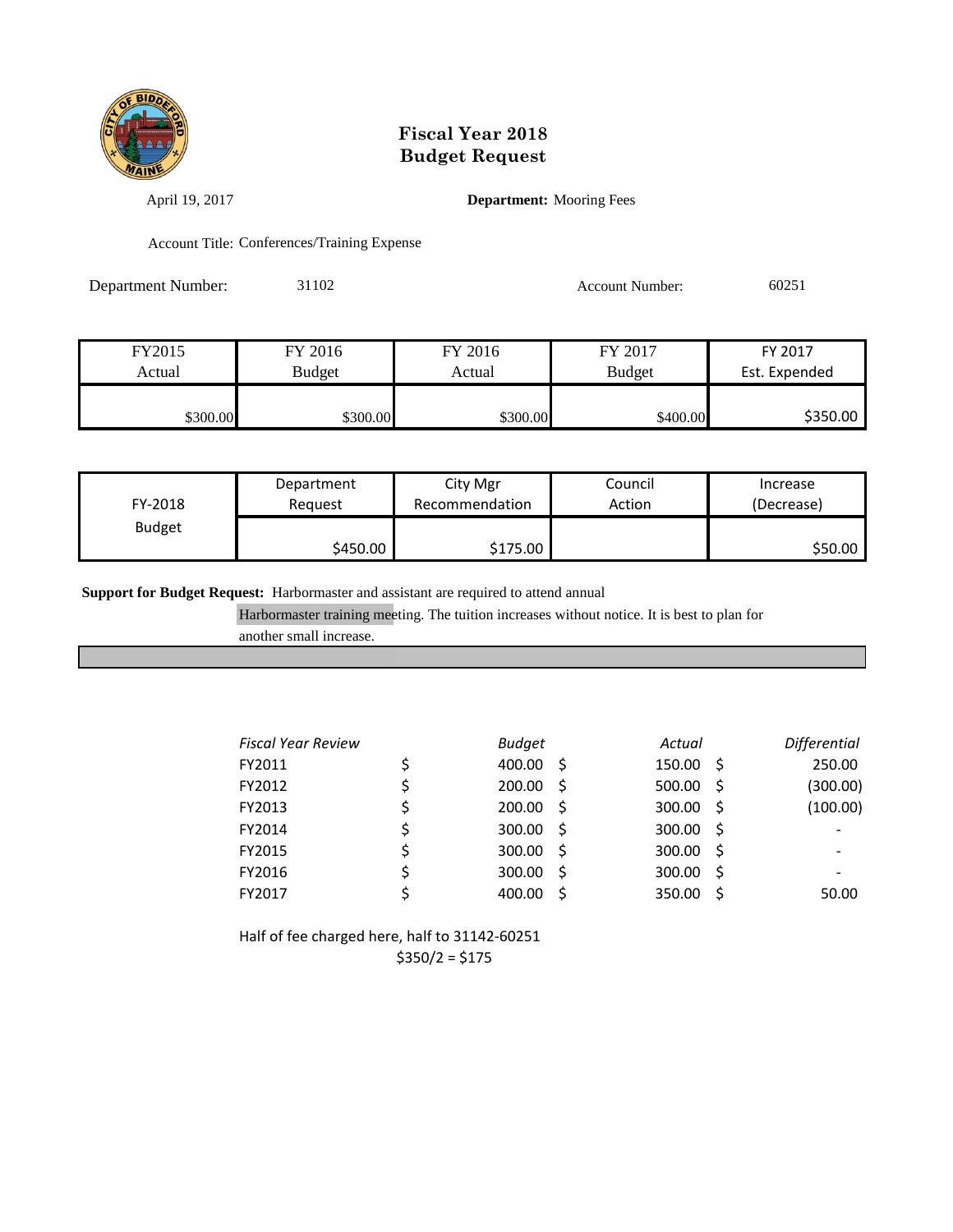

April 19, 2017 **Department:** Mooring Fees

Account Title: Conferences/Training Expense

Department Number: 31102 Account Number: 60251

| FY2015   | FY 2016       | FY 2016  | FY 2017       | FY 2017       |
|----------|---------------|----------|---------------|---------------|
| Actual   | <b>Budget</b> | Actual   | <b>Budget</b> | Est. Expended |
|          |               |          |               |               |
| \$300.00 | \$300.00∎     | \$300.00 | \$400.00      | \$350.00      |

| FY-2018       | Department | City Mgr       | Council | Increase   |
|---------------|------------|----------------|---------|------------|
|               | Reauest    | Recommendation | Action  | (Decrease) |
| <b>Budget</b> | \$450.00   | \$175.00       |         | \$50.00    |

**Support for Budget Request:** Harbormaster and assistant are required to attend annual

Harbormaster training meeting. The tuition increases without notice. It is best to plan for

another small increase.

| <b>Fiscal Year Review</b> | <b>Budget</b>   |     | Actual |    | <b>Differential</b> |
|---------------------------|-----------------|-----|--------|----|---------------------|
| FY2011                    | 400.00 \$       |     | 150.00 | -S | 250.00              |
| FY2012                    | $200.00$ \$     |     | 500.00 | -S | (300.00)            |
| FY2013                    | $200.00$ \$     |     | 300.00 | -S | (100.00)            |
| FY2014                    | \$<br>300.00 \$ |     | 300.00 | -S |                     |
| FY2015                    | $300.00$ \$     |     | 300.00 | -S |                     |
| FY2016                    | 300.00          | - S | 300.00 | .S |                     |
| FY2017                    | 400.00          |     | 350.00 | Ŝ  | 50.00               |

Half of fee charged here, half to 31142-60251  $$350/2 = $175$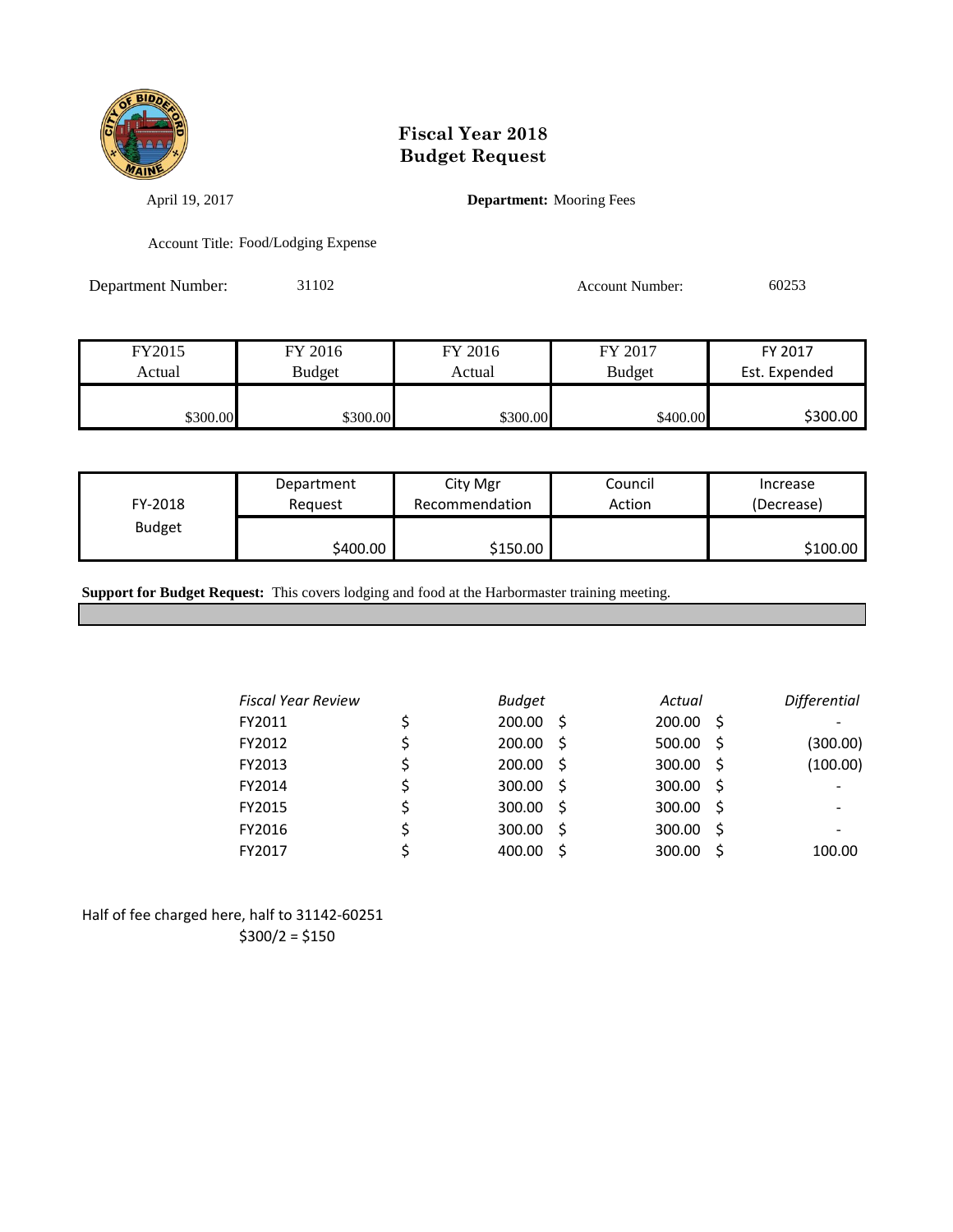

April 19, 2017 **Department:** Mooring Fees

Account Title: Food/Lodging Expense

Department Number: 31102 Account Number: 60253

| FY2015   | FY 2016       | FY 2016  | FY 2017       | FY 2017       |
|----------|---------------|----------|---------------|---------------|
| Actual   | <b>Budget</b> | Actual   | <b>Budget</b> | Est. Expended |
|          |               |          |               |               |
| \$300.00 | \$300.00      | \$300.00 | \$400.00      | \$300.00      |

| FY-2018       | Department | City Mgr       | Council | Increase   |
|---------------|------------|----------------|---------|------------|
|               | Reauest    | Recommendation | Action  | (Decrease) |
| <b>Budget</b> | S400.00 I  | \$150.00       |         | \$100.00   |

**Support for Budget Request:** This covers lodging and food at the Harbormaster training meeting.

| <b>Fiscal Year Review</b> | <b>Budget</b> |    | Actual |     | Differential |
|---------------------------|---------------|----|--------|-----|--------------|
| FY2011                    | $200.00$ \$   |    | 200.00 | - S |              |
| FY2012                    | $200.00$ \$   |    | 500.00 | -S  | (300.00)     |
| FY2013                    | $200.00$ \$   |    | 300.00 | -S  | (100.00)     |
| FY2014                    | $300.00$ \$   |    | 300.00 | -Ś  |              |
| FY2015                    | $300.00$ \$   |    | 300.00 | -S  |              |
| FY2016                    | 300.00        | .S | 300.00 | .S  |              |
| FY2017                    | 400.00        | .S | 300.00 | -S  | 100.00       |
|                           |               |    |        |     |              |

Half of fee charged here, half to 31142-60251  $$300/2 = $150$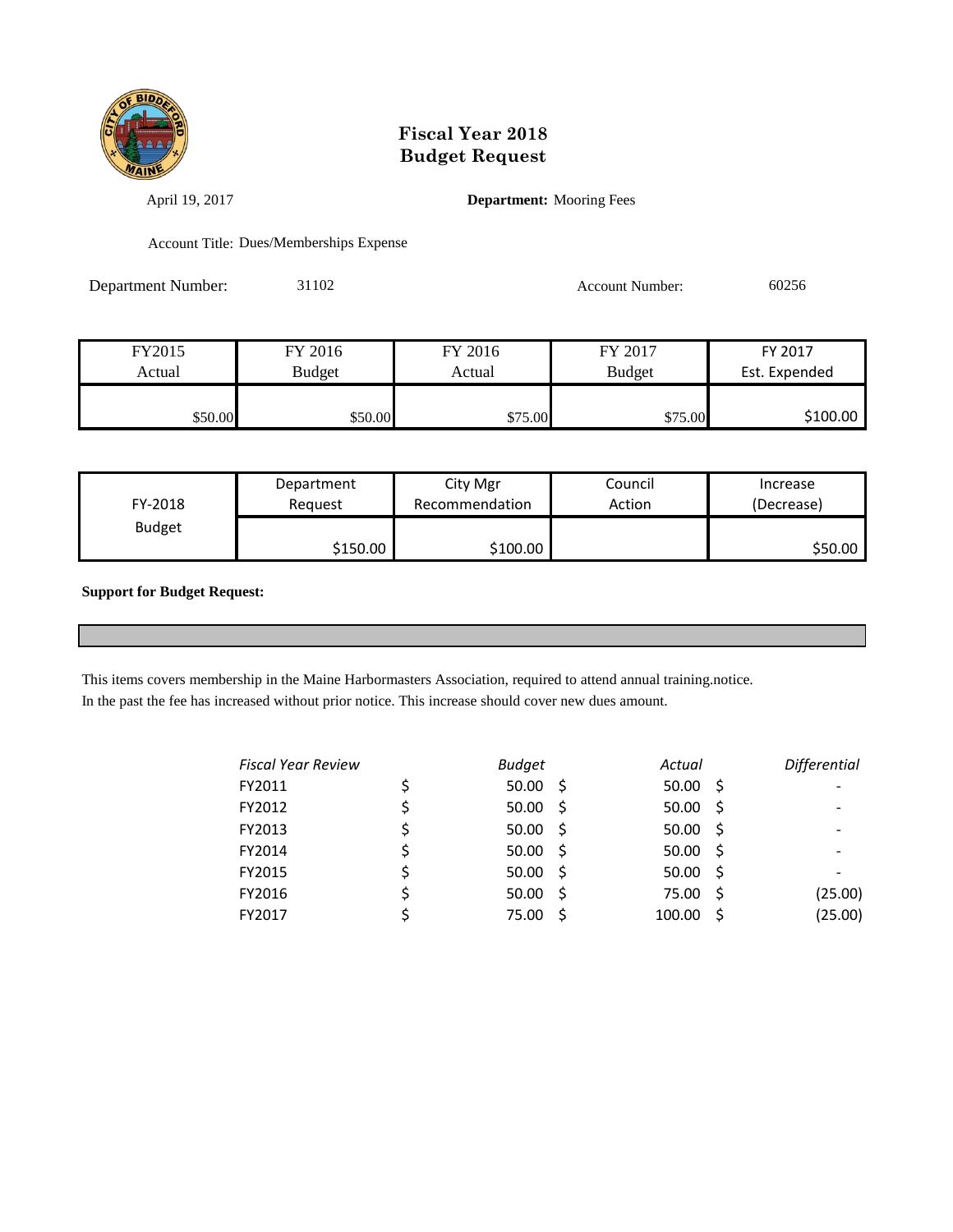

April 19, 2017 **Department:** Mooring Fees

Account Title: Dues/Memberships Expense

Department Number: 31102 Account Number: 60256

| FY2015  | FY 2016 | FY 2016 | FY 2017 | FY 2017       |
|---------|---------|---------|---------|---------------|
| Actual  | Budget  | Actual  | Budget  | Est. Expended |
|         |         |         |         |               |
| \$50.00 | \$50.00 | \$75.00 | \$75.00 | \$100.00      |

| FY-2018       | Department | City Mgr       | Council | Increase   |
|---------------|------------|----------------|---------|------------|
|               | Reauest    | Recommendation | Action  | (Decrease) |
| <b>Budget</b> | S150.00 l  | \$100.00       |         | \$50.00    |

**Support for Budget Request:** 

This items covers membership in the Maine Harbormasters Association, required to attend annual training.notice.

In the past the fee has increased without prior notice. This increase should cover new dues amount.

| <b>Fiscal Year Review</b> | <b>Budget</b> |     | Actual             | <b>Differential</b> |
|---------------------------|---------------|-----|--------------------|---------------------|
| FY2011                    | 50.00         | - S | $50.00$ \$         |                     |
| FY2012                    | 50.00         | - S | $50.00$ \$         |                     |
| FY2013                    | 50.00         | - S | $50.00$ \$         |                     |
| FY2014                    | 50.00         | - S | $50.00\frac{1}{5}$ |                     |
| FY2015                    | 50.00         | - S | $50.00$ \$         |                     |
| FY2016                    | 50.00         | - S | 75.00 \$           | (25.00)             |
| FY2017                    | 75.00         |     | 100.00             | (25.00)             |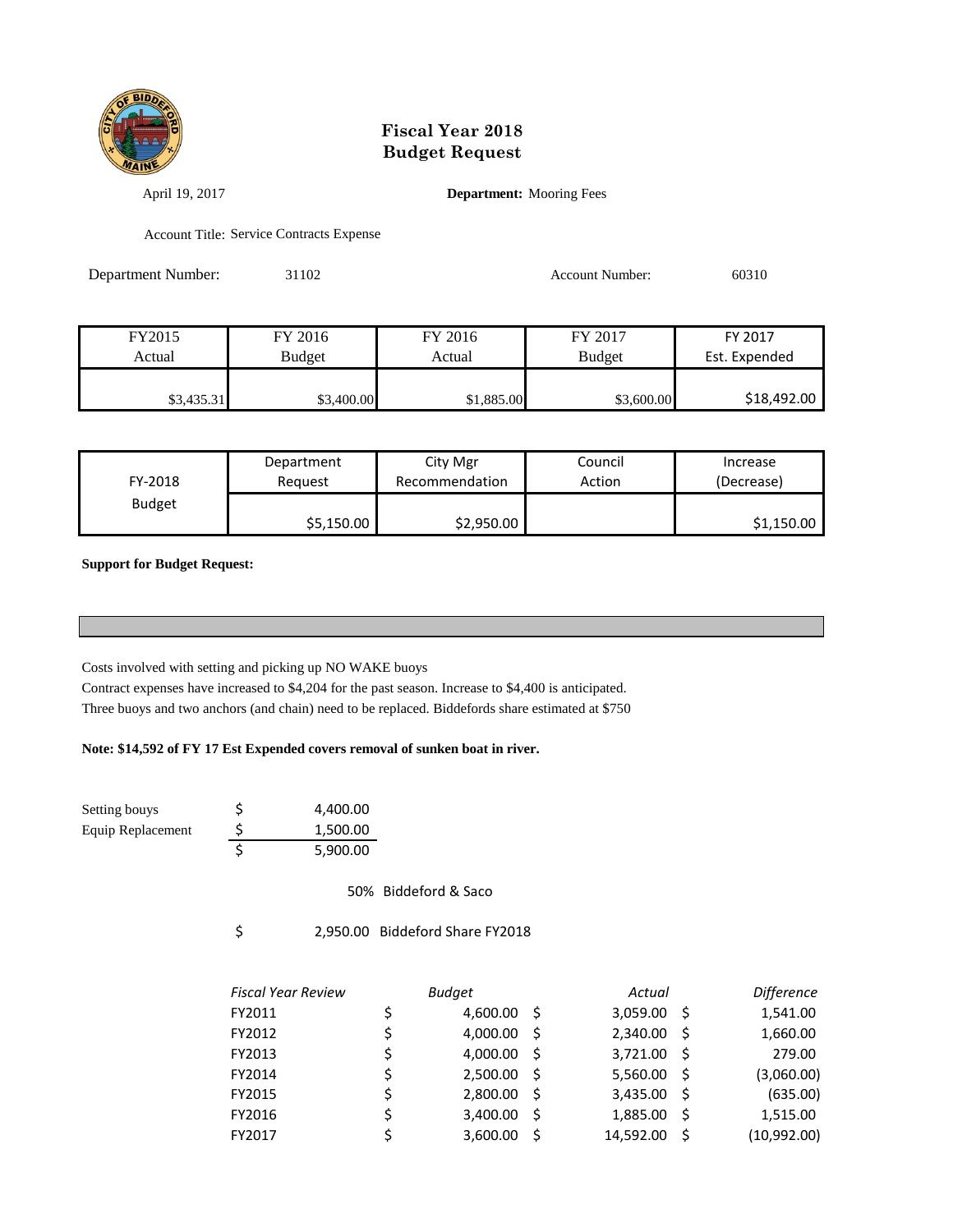

April 19, 2017 **Department:** Mooring Fees

Account Title: Service Contracts Expense

| Department Number: | 31102         |         | Account Number: | 60310         |
|--------------------|---------------|---------|-----------------|---------------|
|                    |               |         |                 |               |
|                    |               |         |                 |               |
| FY2015             | FY 2016       | FY 2016 | FY 2017         | FY 2017       |
| Actual             | <b>Budget</b> | Actual  | <b>Budget</b>   | Est. Expended |

| FY-2018       | Department | City Mgr       | Council | Increase   |
|---------------|------------|----------------|---------|------------|
|               | Reauest    | Recommendation | Action  | (Decrease) |
| <b>Budget</b> | \$5,150.00 | \$2,950.00     |         | \$1,150.00 |

\$3,435.31 \$3,400.00 \$1,885.00 \$3,600.00 \$18,492.00

**Support for Budget Request:** 

Costs involved with setting and picking up NO WAKE buoys

Contract expenses have increased to \$4,204 for the past season. Increase to \$4,400 is anticipated. Three buoys and two anchors (and chain) need to be replaced. Biddefords share estimated at \$750

#### **Note: \$14,592 of FY 17 Est Expended covers removal of sunken boat in river.**

Setting bouys <br>  $\frac{1}{5}$  4,400.00 Equip Replacement  $\frac{\text{S}}{\text{S}}$  1,500.00 \$ 5,900.00

50% Biddeford & Saco

\$ 2,950.00 Biddeford Share FY2018

| <b>Fiscal Year Review</b> |    | <b>Budget</b> |     | Actual    |     | <b>Difference</b> |
|---------------------------|----|---------------|-----|-----------|-----|-------------------|
| FY2011                    | \$ | $4,600.00$ \$ |     | 3,059.00  | - S | 1,541.00          |
| FY2012                    | \$ | 4,000.00      | - S | 2,340.00  | -S  | 1,660.00          |
| FY2013                    | \$ | 4,000.00      | S   | 3,721.00  | -S  | 279.00            |
| FY2014                    | \$ | $2,500.00$ \$ |     | 5,560.00  | -S  | (3,060.00)        |
| FY2015                    | \$ | 2,800.00      | - S | 3,435.00  | -S  | (635.00)          |
| FY2016                    | \$ | 3,400.00      | - S | 1,885.00  | -Ŝ  | 1,515.00          |
| FY2017                    | ς  | 3,600.00      |     | 14,592.00 | -S  | (10, 992.00)      |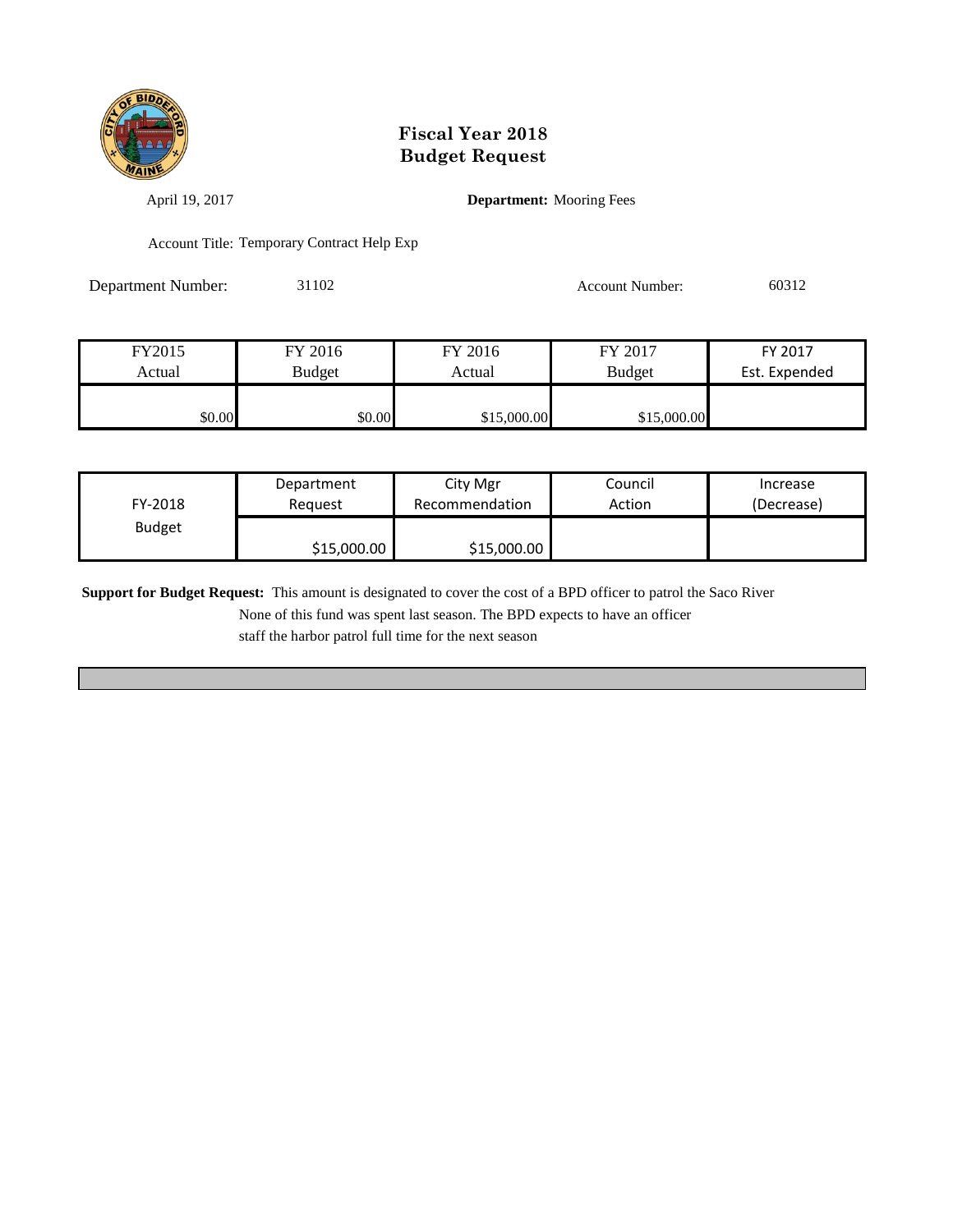

April 19, 2017 **Department:** Mooring Fees

Account Title: Temporary Contract Help Exp

Department Number: 31102 Account Number: 60312

| FY2015 | FY 2016       | FY 2016     | FY 2017       | FY 2017       |
|--------|---------------|-------------|---------------|---------------|
| Actual | <b>Budget</b> | Actual      | <b>Budget</b> | Est. Expended |
|        |               |             |               |               |
| \$0.00 | \$0.00        | \$15,000.00 | \$15,000.00   |               |

| FY-2018       | Department  | City Mgr       | Council | Increase   |
|---------------|-------------|----------------|---------|------------|
|               | Reauest     | Recommendation | Action  | (Decrease) |
| <b>Budget</b> | \$15,000.00 | \$15,000.00    |         |            |

**Support for Budget Request:** This amount is designated to cover the cost of a BPD officer to patrol the Saco River

None of this fund was spent last season. The BPD expects to have an officer

staff the harbor patrol full time for the next season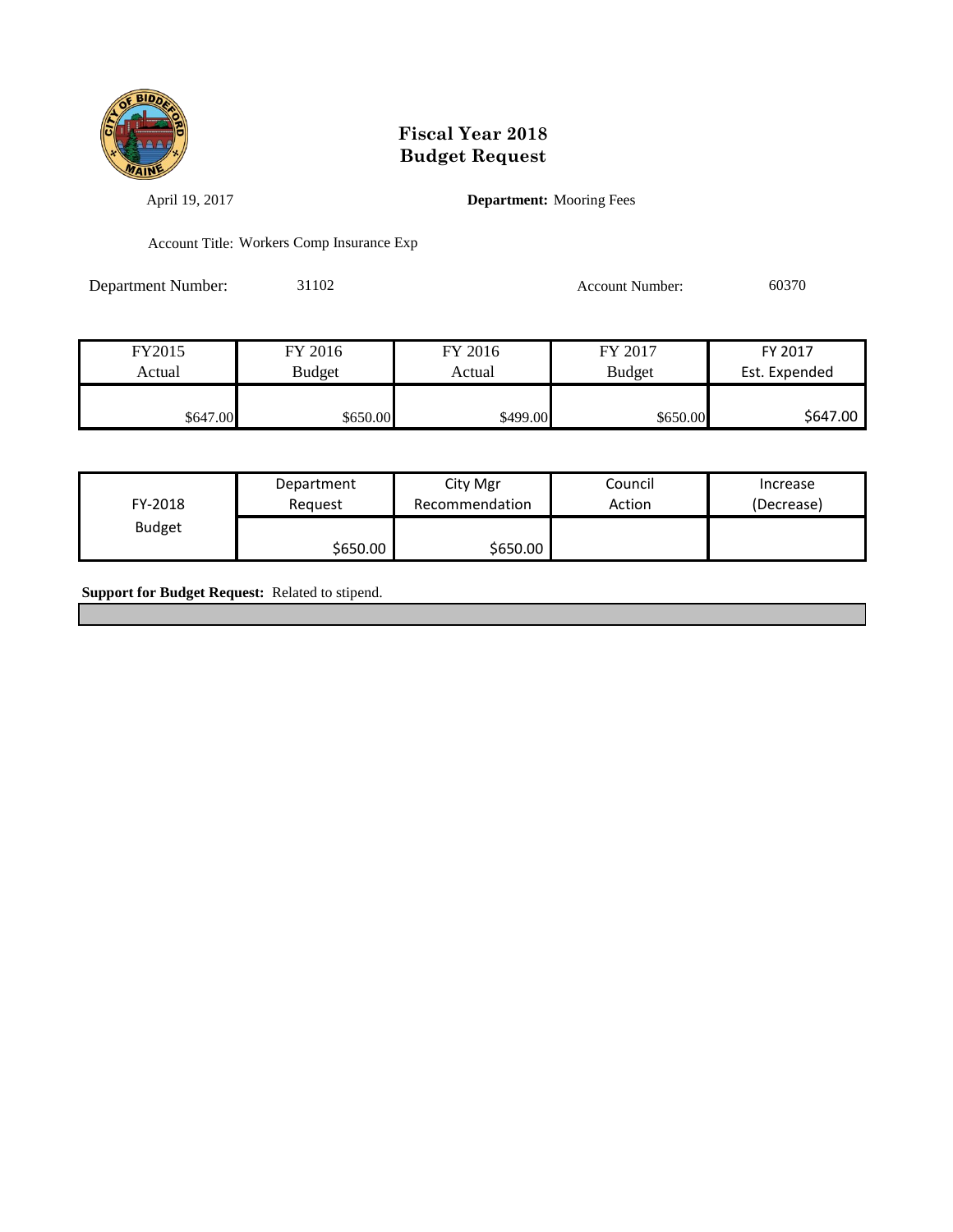

April 19, 2017 **Department:** Mooring Fees

Account Title: Workers Comp Insurance Exp

Department Number: 31102 Account Number: 60370

| FY2015   | FY 2016  | FY 2016  | FY 2017       | FY 2017       |
|----------|----------|----------|---------------|---------------|
| Actual   | Budget   | Actual   | <b>Budget</b> | Est. Expended |
|          |          |          |               |               |
| \$647.00 | \$650.00 | \$499.00 | \$650.00      | \$647.00      |

| FY-2018       | Department | City Mgr       | Council | Increase   |
|---------------|------------|----------------|---------|------------|
|               | Reauest    | Recommendation | Action  | (Decrease) |
| <b>Budget</b> | \$650.00   | \$650.00       |         |            |

**Support for Budget Request:** Related to stipend.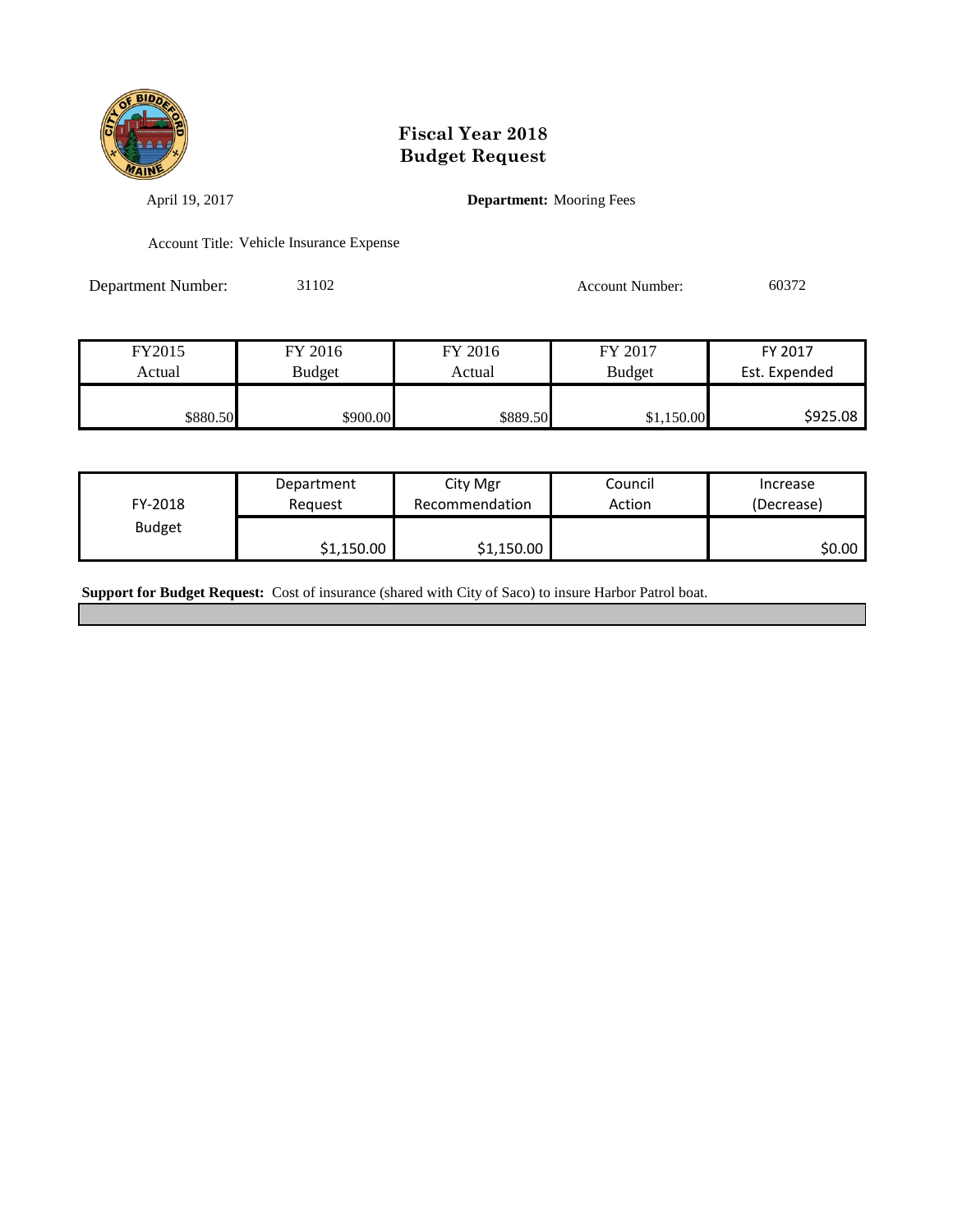

April 19, 2017 **Department:** Mooring Fees

Account Title: Vehicle Insurance Expense

Department Number: 31102 Account Number: 60372

| FY2015   | FY 2016  | FY 2016  | FY 2017       | FY 2017       |
|----------|----------|----------|---------------|---------------|
| Actual   | Budget   | Actual   | <b>Budget</b> | Est. Expended |
|          |          |          |               |               |
| \$880.50 | \$900.00 | \$889.50 | \$1,150.00    | \$925.08      |

| FY-2018       | Department | City Mgr       | Council | Increase   |
|---------------|------------|----------------|---------|------------|
|               | Reauest    | Recommendation | Action  | (Decrease) |
| <b>Budget</b> | \$1,150.00 | \$1,150.00     |         | SO.OO I    |

**Support for Budget Request:** Cost of insurance (shared with City of Saco) to insure Harbor Patrol boat.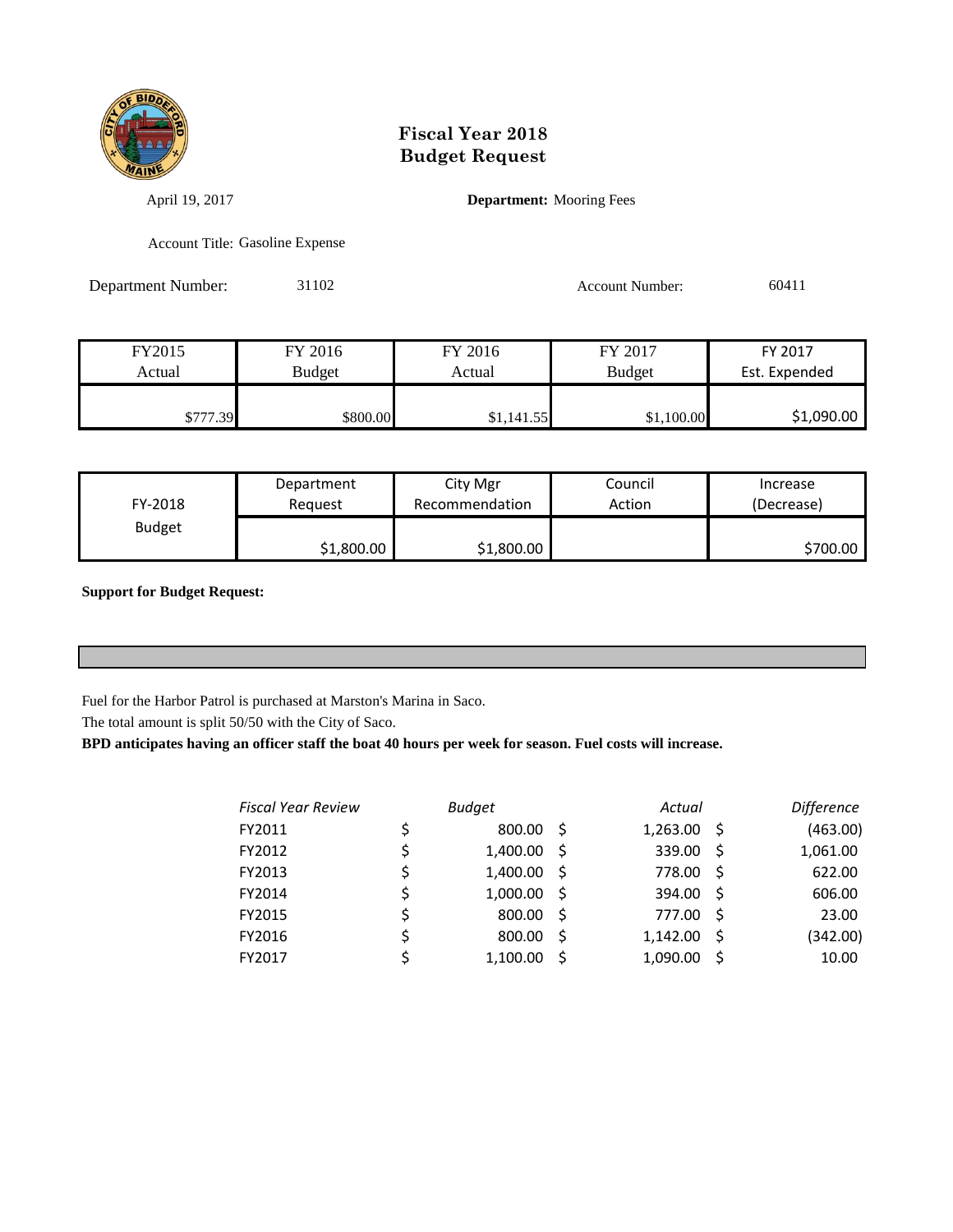

April 19, 2017 **Department:** Mooring Fees

Account Title: Gasoline Expense

Department Number: 31102 Account Number: 60411

| FY2015   | FY 2016       | FY 2016    | FY 2017       | FY 2017       |
|----------|---------------|------------|---------------|---------------|
| Actual   | <b>Budget</b> | Actual     | <b>Budget</b> | Est. Expended |
| \$777.39 | \$800.00      | \$1,141.55 | \$1,100.00    | \$1,090.00    |

| FY-2018       | Department | City Mgr       | Council | Increase   |
|---------------|------------|----------------|---------|------------|
|               | Reauest    | Recommendation | Action  | (Decrease) |
| <b>Budget</b> | \$1,800.00 | \$1,800.00     |         | \$700.00   |

**Support for Budget Request:** 

Fuel for the Harbor Patrol is purchased at Marston's Marina in Saco.

The total amount is split 50/50 with the City of Saco.

**BPD anticipates having an officer staff the boat 40 hours per week for season. Fuel costs will increase.**

| <b>Fiscal Year Review</b> | <b>Budget</b>  |     | Actual   |    | <b>Difference</b> |
|---------------------------|----------------|-----|----------|----|-------------------|
| FY2011                    | \$<br>800.00   | -S  | 1,263.00 | -S | (463.00)          |
| FY2012                    | \$<br>1,400.00 | -S  | 339.00   | -S | 1,061.00          |
| FY2013                    | \$<br>1,400.00 | - S | 778.00   | -Ŝ | 622.00            |
| FY2014                    | \$<br>1,000.00 | - S | 394.00   | -Ŝ | 606.00            |
| FY2015                    | \$<br>800.00   | -S  | 777.00   | .S | 23.00             |
| FY2016                    | \$<br>800.00   | -S  | 1,142.00 | -S | (342.00)          |
| FY2017                    | 1,100.00       |     | 1,090.00 | -S | 10.00             |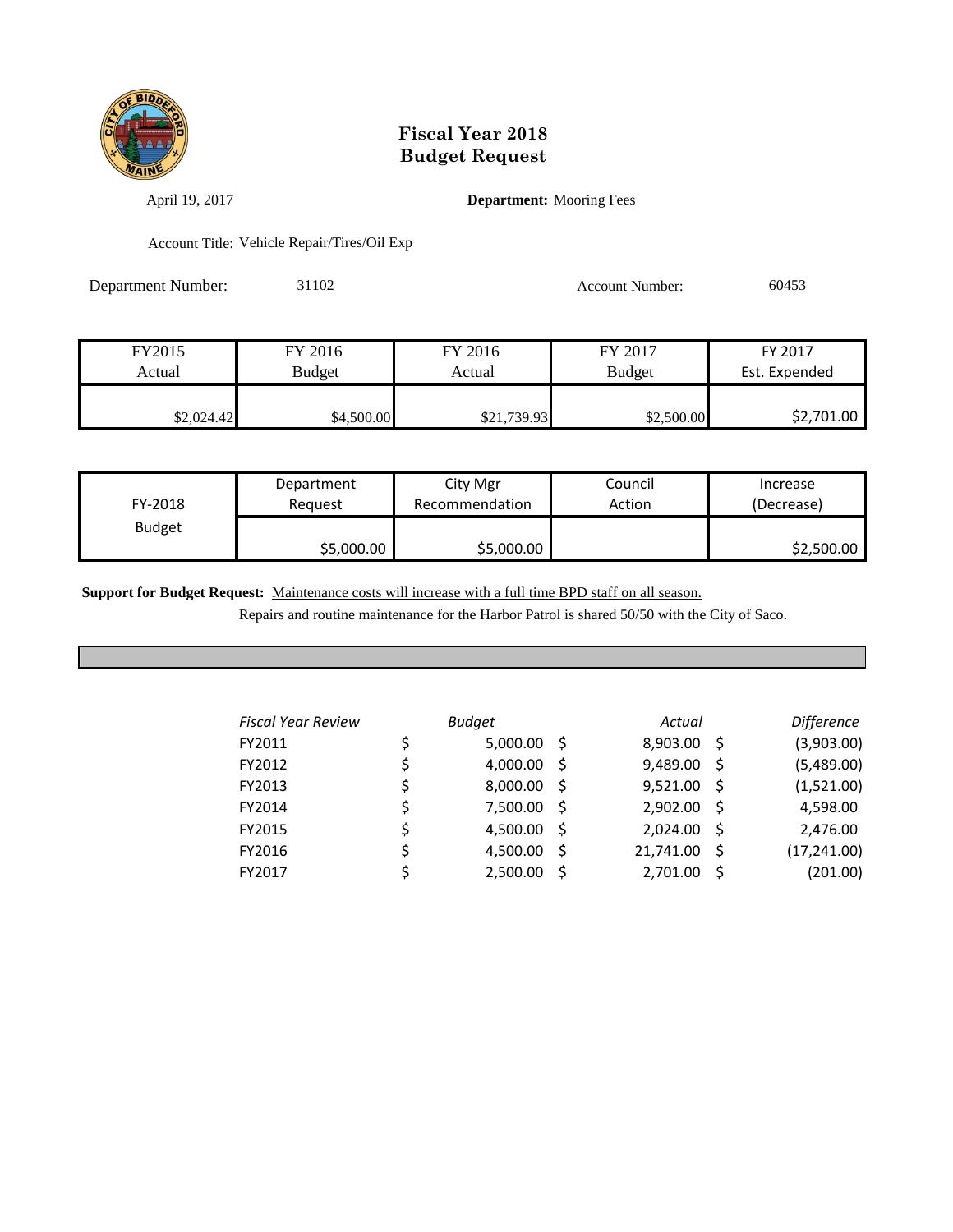

April 19, 2017 **Department:** Mooring Fees

Account Title: Vehicle Repair/Tires/Oil Exp

Department Number: 31102 Account Number: 60453

| FY2015     | FY 2016    | FY 2016     | FY 2017       | FY 2017       |
|------------|------------|-------------|---------------|---------------|
| Actual     | Budget     | Actual      | <b>Budget</b> | Est. Expended |
|            |            |             |               |               |
| \$2,024.42 | \$4,500.00 | \$21,739.93 | \$2,500.00    | \$2,701.00    |

| FY-2018       | Department | City Mgr       | Council | Increase   |
|---------------|------------|----------------|---------|------------|
|               | Reauest    | Recommendation | Action  | (Decrease) |
| <b>Budget</b> | \$5,000.00 | \$5,000.00     |         | \$2,500.00 |

**Support for Budget Request:** Maintenance costs will increase with a full time BPD staff on all season.

Repairs and routine maintenance for the Harbor Patrol is shared 50/50 with the City of Saco.

| <b>Fiscal Year Review</b> |    | <b>Budget</b> |      | Actual    |    | <b>Difference</b> |
|---------------------------|----|---------------|------|-----------|----|-------------------|
| FY2011                    | \$ | 5,000.00      | - S  | 8,903.00  | -S | (3,903.00)        |
| FY2012                    | \$ | 4,000.00      | - \$ | 9,489.00  | -S | (5,489.00)        |
| FY2013                    | \$ | 8,000.00      | - S  | 9,521.00  | -S | (1,521.00)        |
| FY2014                    | \$ | 7,500.00      | - \$ | 2,902.00  | -S | 4,598.00          |
| FY2015                    | \$ | 4,500.00      | - S  | 2,024.00  | -S | 2,476.00          |
| FY2016                    | \$ | 4,500.00      | -S   | 21,741.00 | -Ś | (17, 241.00)      |
| FY2017                    | Ś  | 2,500.00      |      | 2,701.00  | Ŝ  | (201.00)          |
|                           |    |               |      |           |    |                   |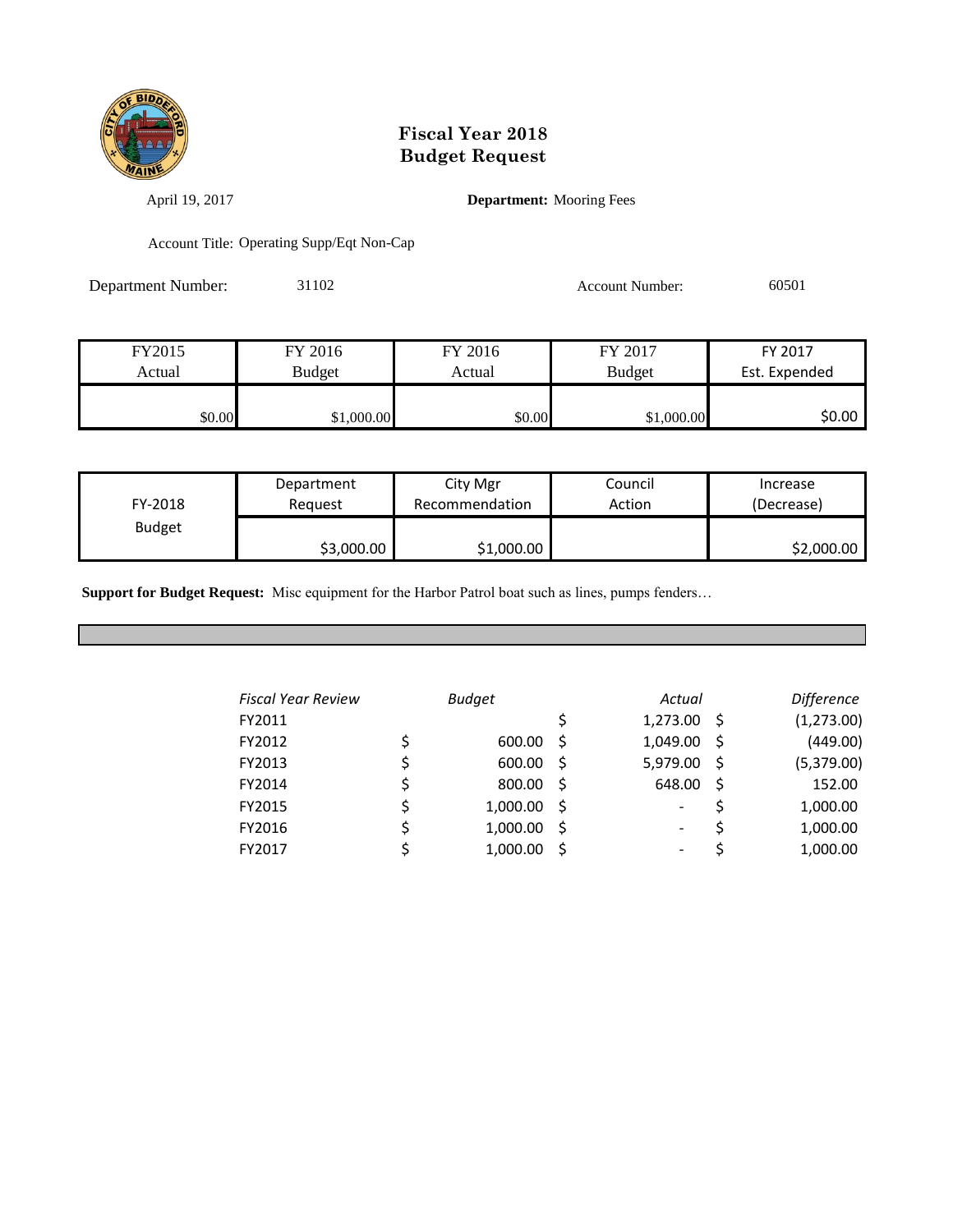

April 19, 2017 **Department:** Mooring Fees

Account Title: Operating Supp/Eqt Non-Cap

Department Number: 31102 Account Number: 60501

| FY2015 | FY 2016       | FY 2016 | FY 2017       | FY 2017       |
|--------|---------------|---------|---------------|---------------|
| Actual | <b>Budget</b> | Actual  | <b>Budget</b> | Est. Expended |
|        |               |         |               |               |
| \$0.00 | \$1,000.00    | \$0.00  | \$1,000.00    | \$0.00        |

| FY-2018       | Department | City Mgr       | Council | Increase   |
|---------------|------------|----------------|---------|------------|
|               | Reauest    | Recommendation | Action  | (Decrease) |
| <b>Budget</b> | \$3,000.00 | \$1,000.00     |         | \$2,000.00 |

**Support for Budget Request:** Misc equipment for the Harbor Patrol boat such as lines, pumps fenders…

| <b>Fiscal Year Review</b> | <b>Budget</b> |      | Actual   |     | <b>Difference</b> |
|---------------------------|---------------|------|----------|-----|-------------------|
| FY2011                    |               |      | 1,273.00 | - S | (1, 273.00)       |
| FY2012                    | \$<br>600.00  | - S  | 1,049.00 | -S  | (449.00)          |
| FY2013                    | 600.00        | - \$ | 5,979.00 | -S  | (5,379.00)        |
| FY2014                    | 800.00        | - S  | 648.00   | .S  | 152.00            |
| FY2015                    | 1,000.00      | - \$ | -        |     | 1,000.00          |
| FY2016                    | 1,000.00      | - \$ | -        |     | 1,000.00          |
| FY2017                    | 1,000.00      | -S   | -        |     | 1,000.00          |
|                           |               |      |          |     |                   |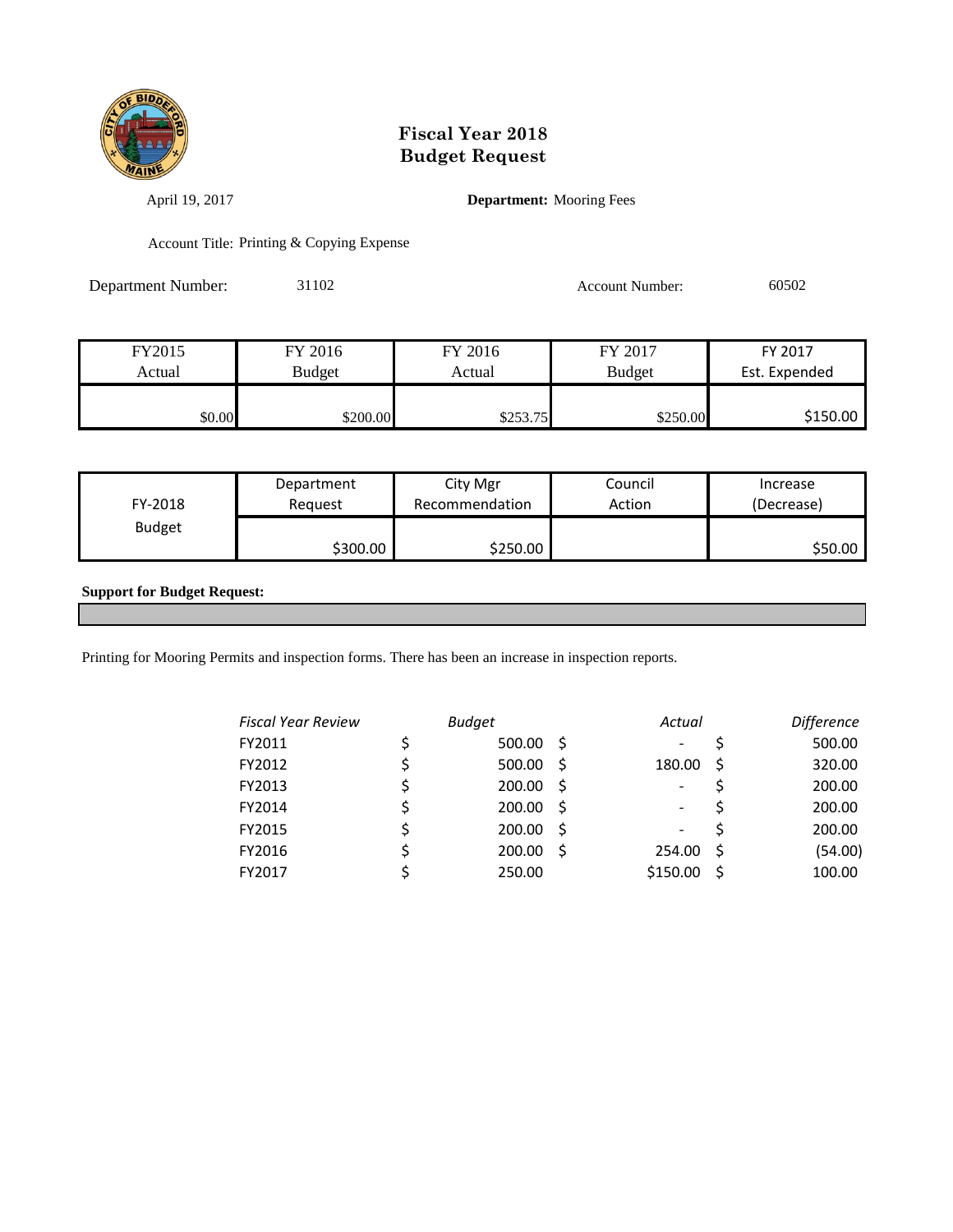

April 19, 2017 **Department:** Mooring Fees

Account Title: Printing & Copying Expense

Department Number: 31102 Account Number: 60502

| FY2015 | FY 2016  | FY 2016  | FY 2017       | FY 2017       |
|--------|----------|----------|---------------|---------------|
| Actual | Budget   | Actual   | <b>Budget</b> | Est. Expended |
|        |          |          |               |               |
| \$0.00 | \$200.00 | \$253.75 | \$250.00      | \$150.00      |

| FY-2018       | Department | City Mgr       | Council | Increase   |
|---------------|------------|----------------|---------|------------|
|               | Reauest    | Recommendation | Action  | (Decrease) |
| <b>Budget</b> | \$300.00   | \$250.00       |         | \$50.00    |

#### **Support for Budget Request:**

Printing for Mooring Permits and inspection forms. There has been an increase in inspection reports.

| <b>Fiscal Year Review</b> | <b>Budget</b> |     | Actual                   |    | <b>Difference</b> |
|---------------------------|---------------|-----|--------------------------|----|-------------------|
| FY2011                    | 500.00        | - S |                          |    | 500.00            |
| FY2012                    | 500.00        | - S | 180.00                   | S  | 320.00            |
| FY2013                    | 200.00        | -S  | $\overline{\phantom{0}}$ |    | 200.00            |
| FY2014                    | 200.00        | - S | -                        |    | 200.00            |
| FY2015                    | 200.00        | -S  | -                        |    | 200.00            |
| FY2016                    | 200.00        | -S  | 254.00                   | -S | (54.00)           |
| FY2017                    | 250.00        |     | \$150.00                 | Ŝ  | 100.00            |